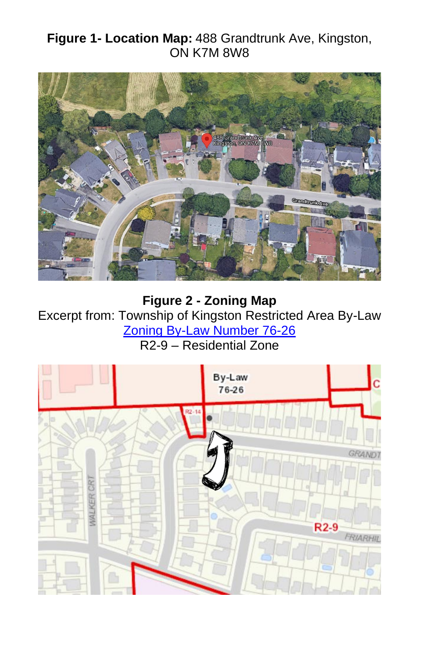#### **Figure 1- Location Map:** 488 Grandtrunk Ave, Kingston, ON K7M 8W8



**Figure 2 - Zoning Map** Excerpt from: Township of Kingston Restricted Area By-Law [Zoning By-Law Number 76-26](https://www.cityofkingston.ca/documents/10180/139734/Kingston+Township+Restricted+Area+Zoning+Bylaw) R2-9 – Residential Zone

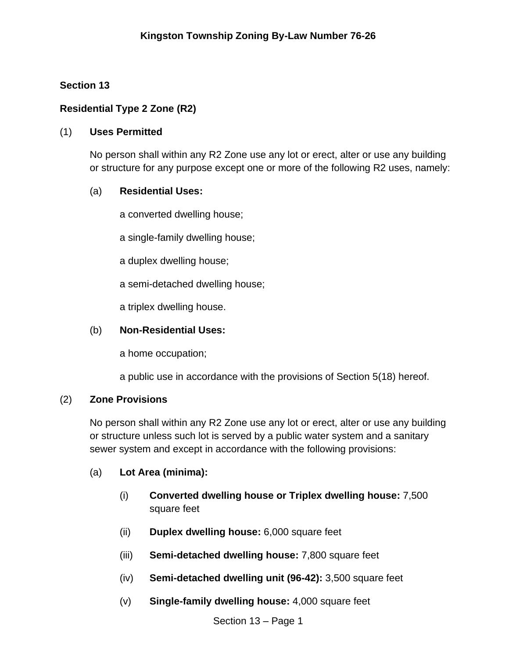# **Section 13**

## **Residential Type 2 Zone (R2)**

#### (1) **Uses Permitted**

No person shall within any R2 Zone use any lot or erect, alter or use any building or structure for any purpose except one or more of the following R2 uses, namely:

## (a) **Residential Uses:**

a converted dwelling house;

a single-family dwelling house;

a duplex dwelling house;

a semi-detached dwelling house;

a triplex dwelling house.

#### (b) **Non-Residential Uses:**

a home occupation;

a public use in accordance with the provisions of Section 5(18) hereof.

## (2) **Zone Provisions**

No person shall within any R2 Zone use any lot or erect, alter or use any building or structure unless such lot is served by a public water system and a sanitary sewer system and except in accordance with the following provisions:

## (a) **Lot Area (minima):**

- (i) **Converted dwelling house or Triplex dwelling house:** 7,500 square feet
- (ii) **Duplex dwelling house:** 6,000 square feet
- (iii) **Semi-detached dwelling house:** 7,800 square feet
- (iv) **Semi-detached dwelling unit (96-42):** 3,500 square feet
- (v) **Single-family dwelling house:** 4,000 square feet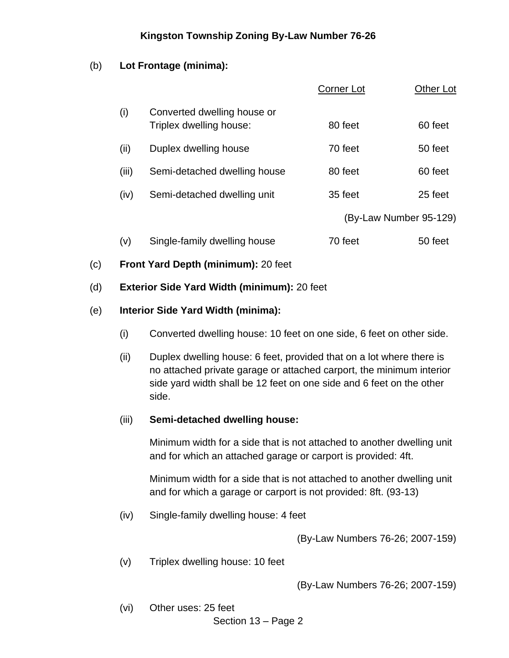#### (b) **Lot Frontage (minima):**

|       |                                                        | Corner Lot | Other Lot              |
|-------|--------------------------------------------------------|------------|------------------------|
| (i)   | Converted dwelling house or<br>Triplex dwelling house: | 80 feet    | 60 feet                |
| (ii)  | Duplex dwelling house                                  | 70 feet    | 50 feet                |
| (iii) | Semi-detached dwelling house                           | 80 feet    | 60 feet                |
| (iv)  | Semi-detached dwelling unit                            | 35 feet    | 25 feet                |
|       |                                                        |            | (By-Law Number 95-129) |
| (v)   | Single-family dwelling house                           | 70 feet    | 50 feet                |

- (c) **Front Yard Depth (minimum):** 20 feet
- (d) **Exterior Side Yard Width (minimum):** 20 feet

#### (e) **Interior Side Yard Width (minima):**

- (i) Converted dwelling house: 10 feet on one side, 6 feet on other side.
- (ii) Duplex dwelling house: 6 feet, provided that on a lot where there is no attached private garage or attached carport, the minimum interior side yard width shall be 12 feet on one side and 6 feet on the other side.

## (iii) **Semi-detached dwelling house:**

Minimum width for a side that is not attached to another dwelling unit and for which an attached garage or carport is provided: 4ft.

Minimum width for a side that is not attached to another dwelling unit and for which a garage or carport is not provided: 8ft. (93-13)

(iv) Single-family dwelling house: 4 feet

(By-Law Numbers 76-26; 2007-159)

(v) Triplex dwelling house: 10 feet

(By-Law Numbers 76-26; 2007-159)

(vi) Other uses: 25 feet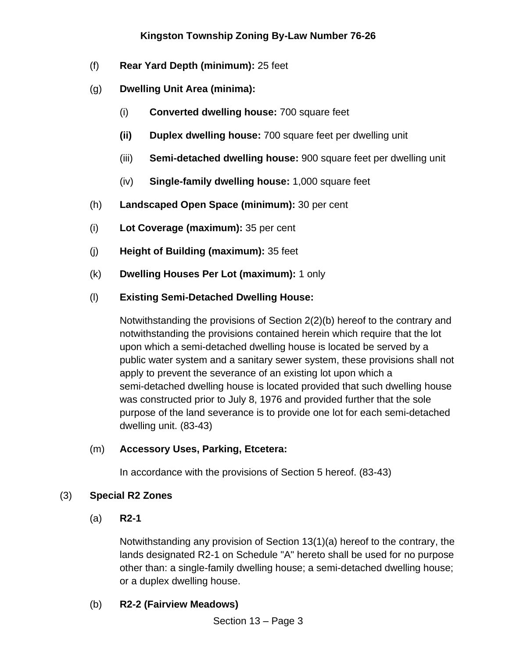- (f) **Rear Yard Depth (minimum):** 25 feet
- (g) **Dwelling Unit Area (minima):**
	- (i) **Converted dwelling house:** 700 square feet
	- **(ii) Duplex dwelling house:** 700 square feet per dwelling unit
	- (iii) **Semi-detached dwelling house:** 900 square feet per dwelling unit
	- (iv) **Single-family dwelling house:** 1,000 square feet
- (h) **Landscaped Open Space (minimum):** 30 per cent
- (i) **Lot Coverage (maximum):** 35 per cent
- (j) **Height of Building (maximum):** 35 feet
- (k) **Dwelling Houses Per Lot (maximum):** 1 only
- (l) **Existing Semi-Detached Dwelling House:**

Notwithstanding the provisions of Section 2(2)(b) hereof to the contrary and notwithstanding the provisions contained herein which require that the lot upon which a semi-detached dwelling house is located be served by a public water system and a sanitary sewer system, these provisions shall not apply to prevent the severance of an existing lot upon which a semi-detached dwelling house is located provided that such dwelling house was constructed prior to July 8, 1976 and provided further that the sole purpose of the land severance is to provide one lot for each semi-detached dwelling unit. (83-43)

(m) **Accessory Uses, Parking, Etcetera:**

In accordance with the provisions of Section 5 hereof. (83-43)

#### (3) **Special R2 Zones**

(a) **R2-1**

Notwithstanding any provision of Section 13(1)(a) hereof to the contrary, the lands designated R2-1 on Schedule "A" hereto shall be used for no purpose other than: a single-family dwelling house; a semi-detached dwelling house; or a duplex dwelling house.

#### (b) **R2-2 (Fairview Meadows)**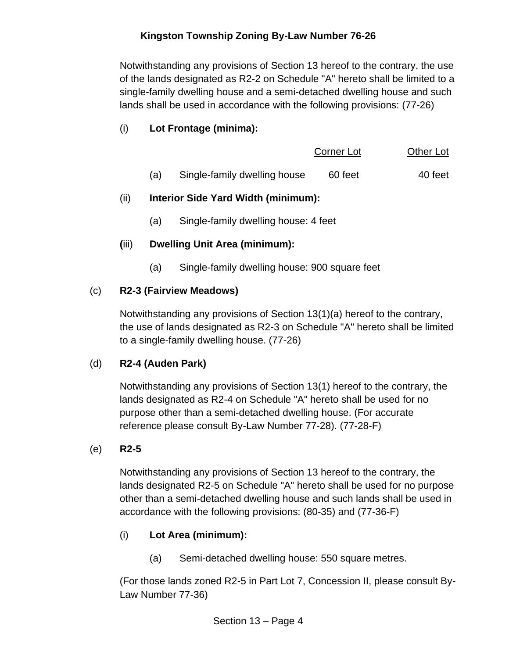Notwithstanding any provisions of Section 13 hereof to the contrary, the use of the lands designated as R2-2 on Schedule "A" hereto shall be limited to a single-family dwelling house and a semi-detached dwelling house and such lands shall be used in accordance with the following provisions: (77-26)

## (i) **Lot Frontage (minima):**

|     |                              | Corner Lot | <b>Other Lot</b> |
|-----|------------------------------|------------|------------------|
| (a) | Single-family dwelling house | 60 feet    | 40 feet          |

## (ii) **Interior Side Yard Width (minimum):**

(a) Single-family dwelling house: 4 feet

## **(**iii) **Dwelling Unit Area (minimum):**

(a) Single-family dwelling house: 900 square feet

## (c) **R2-3 (Fairview Meadows)**

Notwithstanding any provisions of Section 13(1)(a) hereof to the contrary, the use of lands designated as R2-3 on Schedule "A" hereto shall be limited to a single-family dwelling house. (77-26)

## (d) **R2-4 (Auden Park)**

Notwithstanding any provisions of Section 13(1) hereof to the contrary, the lands designated as R2-4 on Schedule "A" hereto shall be used for no purpose other than a semi-detached dwelling house. (For accurate reference please consult By-Law Number 77-28). (77-28-F)

## (e) **R2-5**

Notwithstanding any provisions of Section 13 hereof to the contrary, the lands designated R2-5 on Schedule "A" hereto shall be used for no purpose other than a semi-detached dwelling house and such lands shall be used in accordance with the following provisions: (80-35) and (77-36-F)

# (i) **Lot Area (minimum):**

(a) Semi-detached dwelling house: 550 square metres.

(For those lands zoned R2-5 in Part Lot 7, Concession II, please consult By-Law Number 77-36)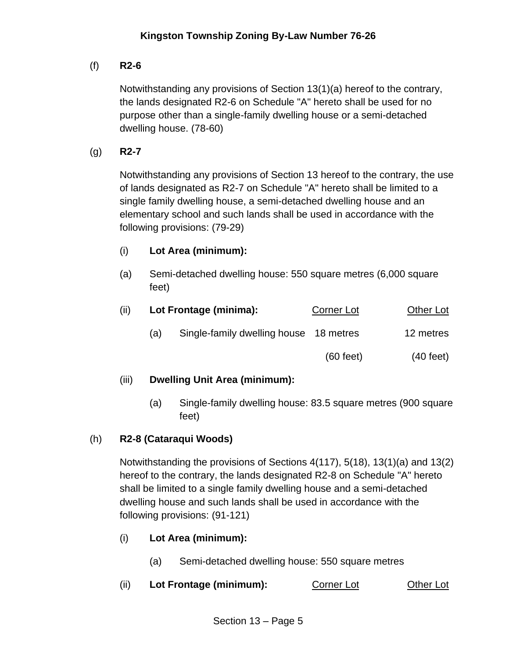# (f) **R2-6**

Notwithstanding any provisions of Section 13(1)(a) hereof to the contrary, the lands designated R2-6 on Schedule "A" hereto shall be used for no purpose other than a single-family dwelling house or a semi-detached dwelling house. (78-60)

# (g) **R2-7**

Notwithstanding any provisions of Section 13 hereof to the contrary, the use of lands designated as R2-7 on Schedule "A" hereto shall be limited to a single family dwelling house, a semi-detached dwelling house and an elementary school and such lands shall be used in accordance with the following provisions: (79-29)

# (i) **Lot Area (minimum):**

(a) Semi-detached dwelling house: 550 square metres (6,000 square feet)

| (ii) | Lot Frontage (minima): |                                        | Corner Lot          | Other Lot           |
|------|------------------------|----------------------------------------|---------------------|---------------------|
|      | (a)                    | Single-family dwelling house 18 metres |                     | 12 metres           |
|      |                        |                                        | $(60 \text{ feet})$ | $(40 \text{ feet})$ |

# (iii) **Dwelling Unit Area (minimum):**

(a) Single-family dwelling house: 83.5 square metres (900 square feet)

# (h) **R2-8 (Cataraqui Woods)**

Notwithstanding the provisions of Sections 4(117), 5(18), 13(1)(a) and 13(2) hereof to the contrary, the lands designated R2-8 on Schedule "A" hereto shall be limited to a single family dwelling house and a semi-detached dwelling house and such lands shall be used in accordance with the following provisions: (91-121)

# (i) **Lot Area (minimum):**

- (a) Semi-detached dwelling house: 550 square metres
- (ii) Lot Frontage (minimum): Corner Lot Cother Lot